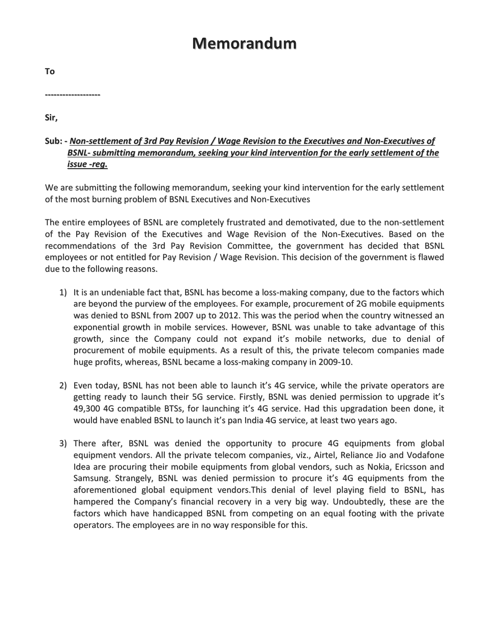## Memorandum

To

-------------------

Sir,

## Sub: - Non-settlement of 3rd Pay Revision / Wage Revision to the Executives and Non-Executives of BSNL- submitting memorandum, seeking your kind intervention for the early settlement of the issue -reg.

We are submitting the following memorandum, seeking your kind intervention for the early settlement of the most burning problem of BSNL Executives and Non-Executives

The entire employees of BSNL are completely frustrated and demotivated, due to the non-settlement of the Pay Revision of the Executives and Wage Revision of the Non-Executives. Based on the recommendations of the 3rd Pay Revision Committee, the government has decided that BSNL employees or not entitled for Pay Revision / Wage Revision. This decision of the government is flawed due to the following reasons.

- 1) It is an undeniable fact that, BSNL has become a loss-making company, due to the factors which are beyond the purview of the employees. For example, procurement of 2G mobile equipments was denied to BSNL from 2007 up to 2012. This was the period when the country witnessed an exponential growth in mobile services. However, BSNL was unable to take advantage of this growth, since the Company could not expand it's mobile networks, due to denial of procurement of mobile equipments. As a result of this, the private telecom companies made huge profits, whereas, BSNL became a loss-making company in 2009-10.
- 2) Even today, BSNL has not been able to launch it's 4G service, while the private operators are getting ready to launch their 5G service. Firstly, BSNL was denied permission to upgrade it's 49,300 4G compatible BTSs, for launching it's 4G service. Had this upgradation been done, it would have enabled BSNL to launch it's pan India 4G service, at least two years ago.
- 3) There after, BSNL was denied the opportunity to procure 4G equipments from global equipment vendors. All the private telecom companies, viz., Airtel, Reliance Jio and Vodafone Idea are procuring their mobile equipments from global vendors, such as Nokia, Ericsson and Samsung. Strangely, BSNL was denied permission to procure it's 4G equipments from the aforementioned global equipment vendors.This denial of level playing field to BSNL, has hampered the Company's financial recovery in a very big way. Undoubtedly, these are the factors which have handicapped BSNL from competing on an equal footing with the private operators. The employees are in no way responsible for this.